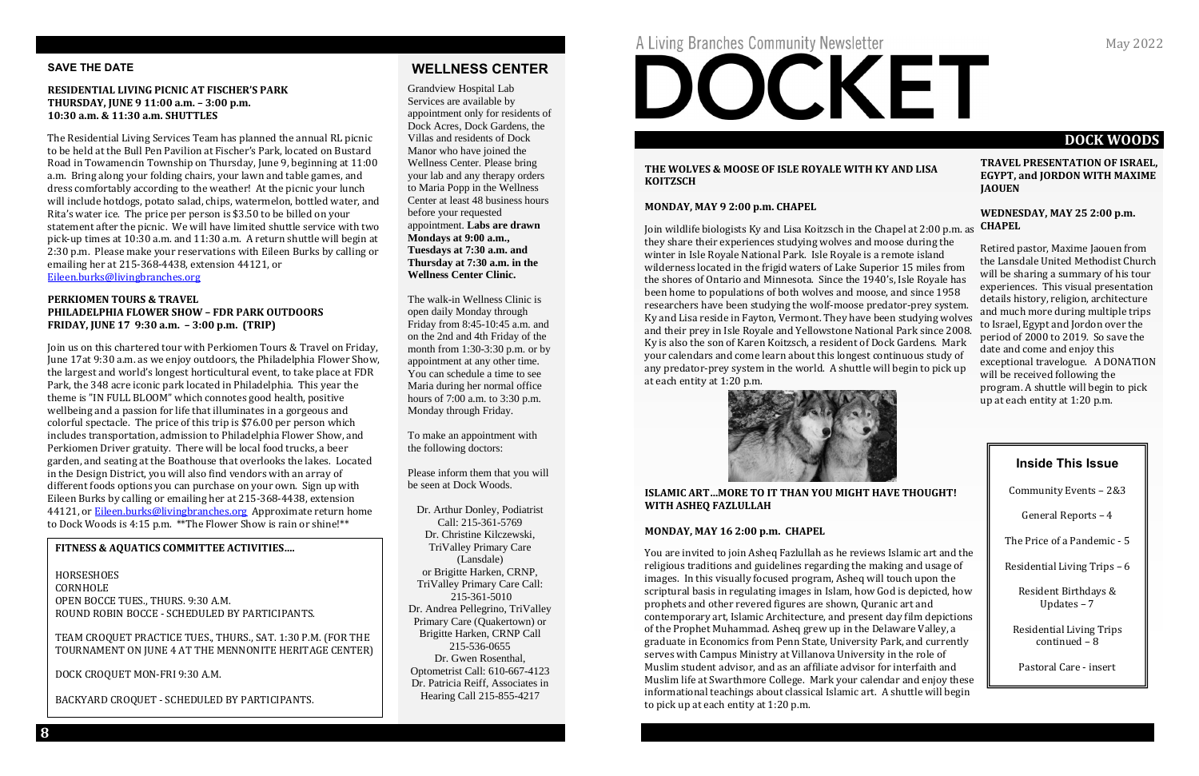# **DOCK WOODS**

#### **TRAVEL PRESENTATION OF ISRAEL, EGYPT, and JORDON WITH MAXIME JAOUEN**

#### **WEDNESDAY, MAY 25 2:00 p.m. CHAPEL**

#### **THE WOLVES & MOOSE OF ISLE ROYALE WITH KY AND LISA KOITZSCH**

#### **MONDAY, MAY 9 2:00 p.m. CHAPEL**

Retired pastor, Maxime Jaouen from the Lansdale United Methodist Church will be sharing a summary of his tour experiences. This visual presentation details history, religion, architecture and much more during multiple trips to Israel, Egypt and Jordon over the period of 2000 to 2019. So save the date and come and enjoy this exceptional travelogue. A DONATION will be received following the program. A shuttle will begin to pick up at each entity at 1:20 p.m. Join wildlife biologists Ky and Lisa Koitzsch in the Chapel at 2:00 p.m. as they share their experiences studying wolves and moose during the winter in Isle Royale National Park. Isle Royale is a remote island wilderness located in the frigid waters of Lake Superior 15 miles from the shores of Ontario and Minnesota. Since the 1940's, Isle Royale has been home to populations of both wolves and moose, and since 1958 researchers have been studying the wolf-moose predator-prey system. Ky and Lisa reside in Fayton, Vermont. They have been studying wolves and their prey in Isle Royale and Yellowstone National Park since 2008. Ky is also the son of Karen Koitzsch, a resident of Dock Gardens. Mark your calendars and come learn about this longest continuous study of any predator-prey system in the world. A shuttle will begin to pick up at each entity at 1:20 p.m.



#### **ISLAMIC ART…MORE TO IT THAN YOU MIGHT HAVE THOUGHT! WITH ASHEQ FAZLULLAH**

#### **MONDAY, MAY 16 2:00 p.m. CHAPEL**

You are invited to join Asheq Fazlullah as he reviews Islamic art and the religious traditions and guidelines regarding the making and usage of images. In this visually focused program, Asheq will touch upon the scriptural basis in regulating images in Islam, how God is depicted, how prophets and other revered figures are shown, Quranic art and contemporary art, Islamic Architecture, and present day film depictions of the Prophet Muhammad. Asheq grew up in the Delaware Valley, a graduate in Economics from Penn State, University Park, and currently serves with Campus Ministry at Villanova University in the role of Muslim student advisor, and as an affiliate advisor for interfaith and Muslim life at Swarthmore College. Mark your calendar and enjoy these informational teachings about classical Islamic art. A shuttle will begin to pick up at each entity at 1:20 p.m.

#### **SAVE THE DATE**

#### **RESIDENTIAL LIVING PICNIC AT FISCHER'S PARK THURSDAY, JUNE 9 11:00 a.m. – 3:00 p.m. 10:30 a.m. & 11:30 a.m. SHUTTLES**

The Residential Living Services Team has planned the annual RL picnic to be held at the Bull Pen Pavilion at Fischer's Park, located on Bustard Road in Towamencin Township on Thursday, June 9, beginning at 11:00 a.m. Bring along your folding chairs, your lawn and table games, and dress comfortably according to the weather! At the picnic your lunch will include hotdogs, potato salad, chips, watermelon, bottled water, and Rita's water ice. The price per person is \$3.50 to be billed on your statement after the picnic. We will have limited shuttle service with two pick-up times at 10:30 a.m. and 11:30 a.m. A return shuttle will begin at 2:30 p.m. Please make your reservations with Eileen Burks by calling or emailing her at 215-368-4438, extension 44121, or [Eileen.burks@livingbranches.org](mailto:Eileen.burks@livingbranches.org)

#### **PERKIOMEN TOURS & TRAVEL PHILADELPHIA FLOWER SHOW – FDR PARK OUTDOORS FRIDAY, JUNE 17 9:30 a.m. – 3:00 p.m. (TRIP)**

Join us on this chartered tour with Perkiomen Tours & Travel on Friday, June 17at 9:30 a.m. as we enjoy outdoors, the Philadelphia Flower Show, the largest and world's longest horticultural event, to take place at FDR Park, the 348 acre iconic park located in Philadelphia. This year the theme is "IN FULL BLOOM" which connotes good health, positive wellbeing and a passion for life that illuminates in a gorgeous and colorful spectacle. The price of this trip is \$76.00 per person which includes transportation, admission to Philadelphia Flower Show, and Perkiomen Driver gratuity. There will be local food trucks, a beer garden, and seating at the Boathouse that overlooks the lakes. Located in the Design District, you will also find vendors with an array of different foods options you can purchase on your own. Sign up with Eileen Burks by calling or emailing her at 215-368-4438, extension 44121, or **Eileen.burks@livingbranches.org** Approximate return home to Dock Woods is 4:15 p.m. \*\*The Flower Show is rain or shine!\*\*

# **WELLNESS CENTER**

Grandview Hospital Lab Services are available by appointment only for residents of Dock Acres, Dock Gardens, the Villas and residents of Dock Manor who have joined the Wellness Center. Please bring your lab and any therapy orders to Maria Popp in the Wellness Center at least 48 business hours before your requested appointment. **Labs are drawn Mondays at 9:00 a.m., Tuesdays at 7:30 a.m. and Thursday at 7:30 a.m. in the Wellness Center Clinic.**

The walk-in Wellness Clinic is open daily Monday through Friday from 8:45-10:45 a.m. and on the 2nd and 4th Friday of the month from 1:30-3:30 p.m. or by appointment at any other time. You can schedule a time to see Maria during her normal office hours of 7:00 a.m. to 3:30 p.m. Monday through Friday.

To make an appointment with the following doctors:

Please inform them that you will be seen at Dock Woods.

Dr. Arthur Donley, Podiatrist Call: 215-361-5769 Dr. Christine Kilczewski, TriValley Primary Care (Lansdale) or Brigitte Harken, CRNP, TriValley Primary Care Call: 215-361-5010 Dr. Andrea Pellegrino, TriValley Primary Care (Quakertown) or Brigitte Harken, CRNP Call 215-536-0655 Dr. Gwen Rosenthal, Optometrist Call: 610-667-4123 Dr. Patricia Reiff, Associates in Hearing Call 215-855-4217

*\*\* Please bring your* 



# **Inside This Issue**

Community Events – 2&3

General Reports – 4

The Price of a Pandemic - 5

Residential Living Trips – 6

Resident Birthdays & Updates – 7

Residential Living Trips continued – 8

Pastoral Care - insert

#### **FITNESS & AQUATICS COMMITTEE ACTIVITIES….**

HORSESHOES **CORNHOLE** OPEN BOCCE TUES., THURS. 9:30 A.M. ROUND ROBIN BOCCE - SCHEDULED BY PARTICIPANTS.

TEAM CROQUET PRACTICE TUES., THURS., SAT. 1:30 P.M. (FOR THE TOURNAMENT ON JUNE 4 AT THE MENNONITE HERITAGE CENTER)

DOCK CROQUET MON-FRI 9:30 A.M.

BACKYARD CROQUET - SCHEDULED BY PARTICIPANTS.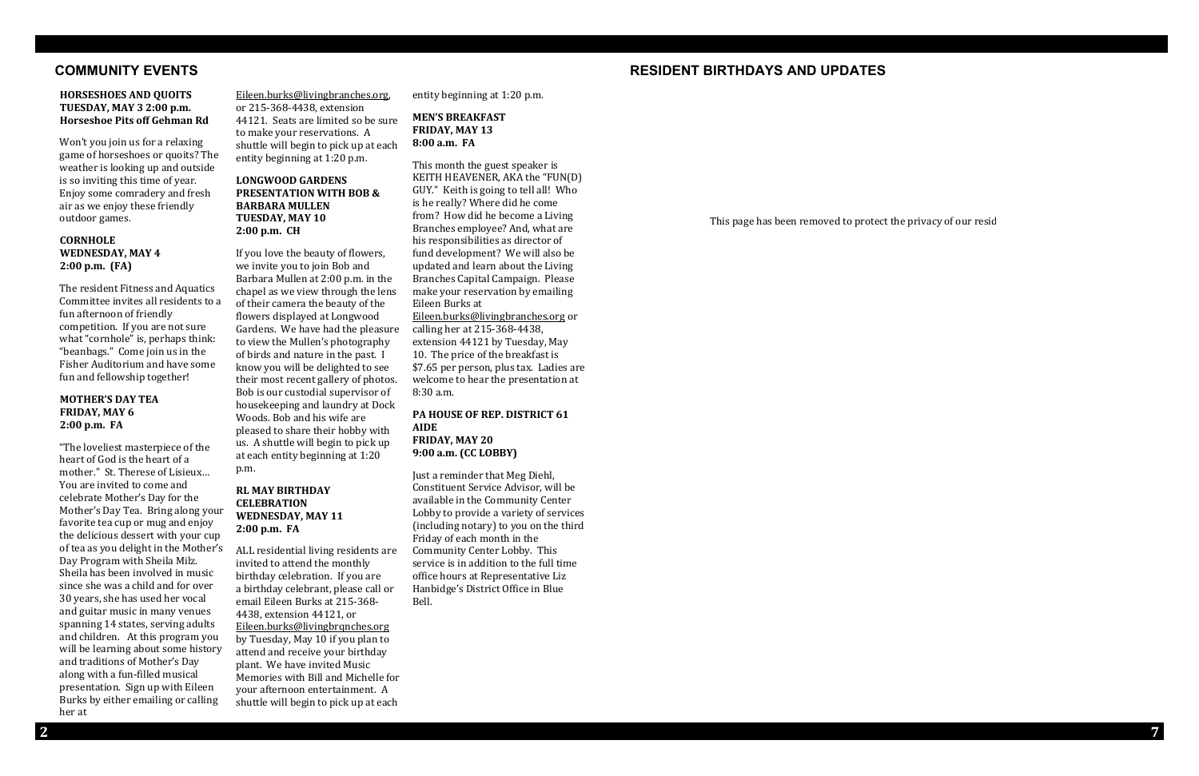# **COMMUNITY EVENTS RESIDENT BIRTHDAYS AND UPDATES**

This page has been removed to protect the privacy of our residents.

#### **HORSESHOES AND QUOITS TUESDAY, MAY 3 2:00 p.m. Horseshoe Pits off Gehman Rd**

Won't you join us for a relaxing game of horseshoes or quoits? The weather is looking up and outside is so inviting this time of year. Enjoy some comradery and fresh air as we enjoy these friendly outdoor games.

### **CORNHOLE WEDNESDAY, MAY 4 2:00 p.m. (FA)**

The resident Fitness and Aquatics Committee invites all residents to a fun afternoon of friendly competition. If you are not sure what "cornhole" is, perhaps think: "beanbags." Come join us in the Fisher Auditorium and have some fun and fellowship together!

#### **MOTHER'S DAY TEA FRIDAY, MAY 6 2:00 p.m. FA**

"The loveliest masterpiece of the heart of God is the heart of a mother." St. Therese of Lisieux… You are invited to come and celebrate Mother's Day for the Mother's Day Tea. Bring along your favorite tea cup or mug and enjoy the delicious dessert with your cup of tea as you delight in the Mother's Day Program with Sheila Milz. Sheila has been involved in music since she was a child and for over 30 years, she has used her vocal and guitar music in many venues spanning 14 states, serving adults and children. At this program you will be learning about some history and traditions of Mother's Day along with a fun-filled musical presentation. Sign up with Eileen Burks by either emailing or calling her at

[Eileen.burks@livingbranches.org,](mailto:Eileen.burks@livingbranches.org) or 215-368-4438, extension 44121. Seats are limited so be sure to make your reservations. A shuttle will begin to pick up at each entity beginning at 1:20 p.m.

### **LONGWOOD GARDENS PRESENTATION WITH BOB & BARBARA MULLEN TUESDAY, MAY 10 2:00 p.m. CH**

If you love the beauty of flowers, we invite you to join Bob and Barbara Mullen at 2:00 p.m. in the chapel as we view through the lens of their camera the beauty of the flowers displayed at Longwood Gardens. We have had the pleasure to view the Mullen's photography of birds and nature in the past. I know you will be delighted to see their most recent gallery of photos. Bob is our custodial supervisor of housekeeping and laundry at Dock Woods. Bob and his wife are pleased to share their hobby with us. A shuttle will begin to pick up at each entity beginning at 1:20 p.m.

#### **RL MAY BIRTHDAY CELEBRATION WEDNESDAY, MAY 11 2:00 p.m. FA**

ALL residential living residents are invited to attend the monthly birthday celebration. If you are a birthday celebrant, please call or email Eileen Burks at 215-368- 4438, extension 44121, or [Eileen.burks@livingbrqnches.org](mailto:Eileen.burks@livingbrqnches.org) by Tuesday, May 10 if you plan to attend and receive your birthday plant. We have invited Music Memories with Bill and Michelle for your afternoon entertainment. A shuttle will begin to pick up at each

entity beginning at 1:20 p.m.

#### **MEN'S BREAKFAST FRIDAY, MAY 13 8:00 a.m. FA**

This month the guest speaker is KEITH HEAVENER, AKA the "FUN(D) GUY." Keith is going to tell all! Who is he really? Where did he come from? How did he become a Living Branches employee? And, what are his responsibilities as director of fund development? We will also be updated and learn about the Living Branches Capital Campaign. Please make your reservation by emailing Eileen Burks at [Eileen.burks@livingbranches.org](mailto:Eileen.burks@livingbranches.org) or calling her at 215-368-4438, extension 44121 by Tuesday, May 10. The price of the breakfast is \$7.65 per person, plus tax. Ladies are welcome to hear the presentation at 8:30 a.m.

**PA HOUSE OF REP. DISTRICT 61 AIDE FRIDAY, MAY 20 9:00 a.m. (CC LOBBY)**

Just a reminder that Meg Diehl, Constituent Service Advisor, will be available in the Community Center Lobby to provide a variety of services (including notary) to you on the third Friday of each month in the Community Center Lobby. This service is in addition to the full time office hours at Representative Liz Hanbidge's District Office in Blue Bell.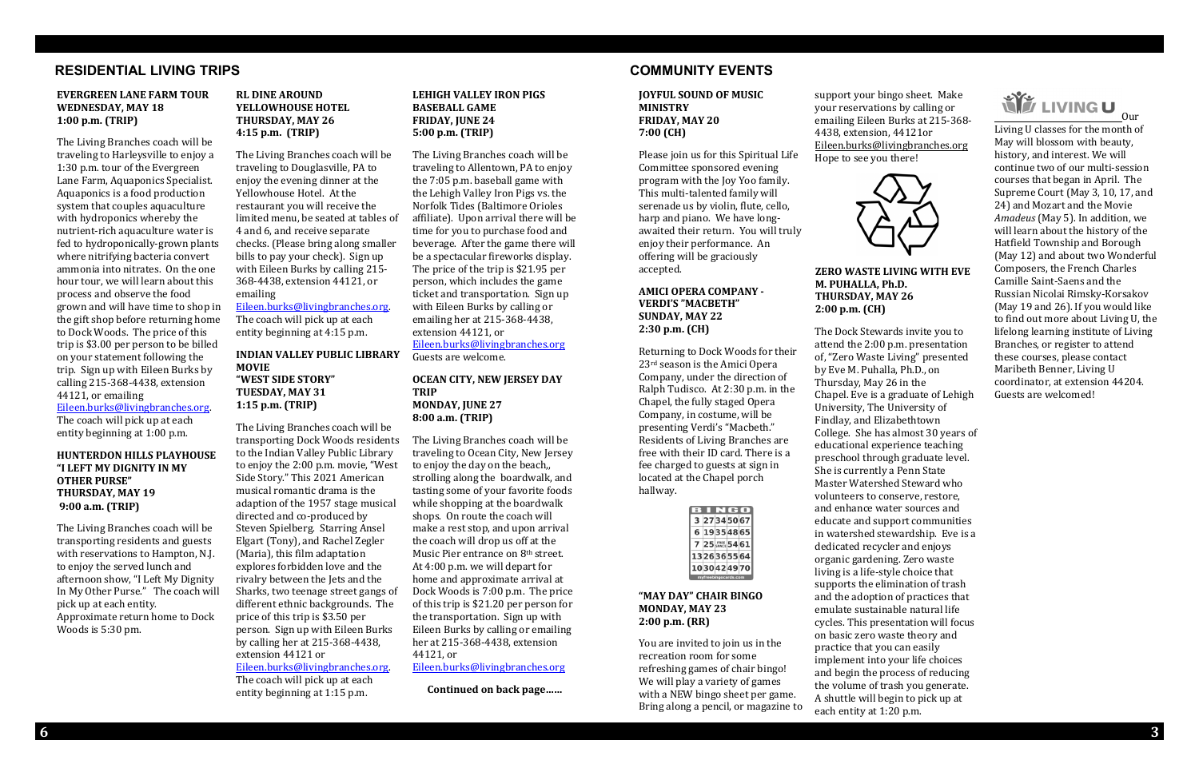# **RESIDENTIAL LIVING TRIPS COMMUNITY EVENTS**

#### **EVERGREEN LANE FARM TOUR WEDNESDAY, MAY 18 1:00 p.m. (TRIP)**

The Living Branches coach will be traveling to Harleysville to enjoy a 1:30 p.m. tour of the Evergreen Lane Farm, Aquaponics Specialist. Aquaponics is a food production system that couples aquaculture with hydroponics whereby the nutrient-rich aquaculture water is fed to hydroponically-grown plants where nitrifying bacteria convert ammonia into nitrates. On the one hour tour, we will learn about this process and observe the food grown and will have time to shop in the gift shop before returning home to Dock Woods. The price of this trip is \$3.00 per person to be billed on your statement following the trip. Sign up with Eileen Burks by calling 215-368-4438, extension 44121, or emailing

[Eileen.burks@livingbranches.org.](mailto:Eileen.burks@livingbranches.org)

The coach will pick up at each entity beginning at 1:00 p.m.

#### **HUNTERDON HILLS PLAYHOUSE "I LEFT MY DIGNITY IN MY OTHER PURSE" THURSDAY, MAY 19 9:00 a.m. (TRIP)**

The Living Branches coach will be transporting residents and guests with reservations to Hampton, N.J. to enjoy the served lunch and afternoon show, "I Left My Dignity In My Other Purse." The coach will pick up at each entity. Approximate return home to Dock Woods is 5:30 pm.

### **RL DINE AROUND YELLOWHOUSE HOTEL THURSDAY, MAY 26 4:15 p.m. (TRIP)**

The Living Branches coach will be traveling to Douglasville, PA to enjoy the evening dinner at the Yellowhouse Hotel. At the restaurant you will receive the limited menu, be seated at tables of 4 and 6, and receive separate checks. (Please bring along smaller bills to pay your check). Sign up with Eileen Burks by calling 215- 368-4438, extension 44121, or emailing

#### [Eileen.burks@livingbranches.org.](mailto:Eileen.burks@livingbranches.org) The coach will pick up at each entity beginning at 4:15 p.m.

**INDIAN VALLEY PUBLIC LIBRARY MOVIE "WEST SIDE STORY" TUESDAY, MAY 31 1:15 p.m. (TRIP)**

The Living Branches coach will be transporting Dock Woods residents to the Indian Valley Public Library to enjoy the 2:00 p.m. movie, "West Side Story." This 2021 American musical romantic drama is the adaption of the 1957 stage musical directed and co-produced by Steven Spielberg. Starring Ansel Elgart (Tony), and Rachel Zegler (Maria), this film adaptation explores forbidden love and the rivalry between the Jets and the Sharks, two teenage street gangs of different ethnic backgrounds. The price of this trip is \$3.50 per person. Sign up with Eileen Burks by calling her at 215-368-4438, extension 44121 or [Eileen.burks@livingbranches.org.](mailto:Eileen.burks@livingbranches.org) The coach will pick up at each

entity beginning at 1:15 p.m.

#### **LEHIGH VALLEY IRON PIGS BASEBALL GAME FRIDAY, JUNE 24 5:00 p.m. (TRIP)**

The Living Branches coach will be traveling to Allentown, PA to enjoy the 7:05 p.m. baseball game with the Lehigh Valley Iron Pigs vs. the Norfolk Tides (Baltimore Orioles affiliate). Upon arrival there will be time for you to purchase food and beverage. After the game there will be a spectacular fireworks display. The price of the trip is \$21.95 per person, which includes the game ticket and transportation. Sign up with Eileen Burks by calling or emailing her at 215-368-4438, extension 44121, or [Eileen.burks@livingbranches.org](mailto:Eileen.burks@livingbranches.org)

Guests are welcome.

#### **OCEAN CITY, NEW JERSEY DAY TRIP MONDAY, JUNE 27 8:00 a.m. (TRIP)**

The Living Branches coach will be traveling to Ocean City, New Jersey to enjoy the day on the beach,, strolling along the boardwalk, and tasting some of your favorite foods while shopping at the boardwalk shops. On route the coach will make a rest stop, and upon arrival the coach will drop us off at the Music Pier entrance on 8<sup>th</sup> street. At 4:00 p.m. we will depart for home and approximate arrival at Dock Woods is 7:00 p.m. The price of this trip is \$21.20 per person for the transportation. Sign up with Eileen Burks by calling or emailing her at 215-368-4438, extension 44121, or [Eileen.burks@livingbranches.org](mailto:Eileen.burks@livingbranches.org)

**Continued on back page……**

**JOYFUL SOUND OF MUSIC MINISTRY FRIDAY, MAY 20 7:00 (CH)**

Please join us for this Spiritual Life Committee sponsored evening program with the Joy Yoo family. This multi-talented family will serenade us by violin, flute, cello, harp and piano. We have longawaited their return. You will truly enjoy their performance. An offering will be graciously accepted.

#### **AMICI OPERA COMPANY - VERDI'S "MACBETH" SUNDAY, MAY 22 2:30 p.m. (CH)**

Returning to Dock Woods for their 23rd season is the Amici Opera Company, under the direction of Ralph Tudisco. At 2:30 p.m. in the Chapel, the fully staged Opera Company, in costume, will be presenting Verdi's "Macbeth." Residents of Living Branches are free with their ID card. There is a fee charged to guests at sign in located at the Chapel porch hallway.

| 3                    |  |  | 27345067        |  |
|----------------------|--|--|-----------------|--|
| 6                    |  |  | 19354865        |  |
|                      |  |  | 7 25 FREE 54 61 |  |
|                      |  |  | 1326365564      |  |
|                      |  |  | 1030424970      |  |
| myfreebingocards.com |  |  |                 |  |

#### **"MAY DAY" CHAIR BINGO MONDAY, MAY 23 2:00 p.m. (RR)**

You are invited to join us in the recreation room for some refreshing games of chair bingo! We will play a variety of games with a NEW bingo sheet per game. Bring along a pencil, or magazine to

support your bingo sheet. Make your reservations by calling or emailing Eileen Burks at 215-368- 4438, extension, 44121or [Eileen.burks@livingbranches.org](mailto:Eileen.burks@livingbranches.org) Hope to see you there!



**ZERO WASTE LIVING WITH EVE** 

# **Our** LIVING U<sub>\_Our</sub>

# **M. PUHALLA, Ph.D. THURSDAY, MAY 26 2:00 p.m. (CH)**

The Dock Stewards invite you to attend the 2:00 p.m. presentation of, "Zero Waste Living" presented by Eve M. Puhalla, Ph.D., on Thursday, May 26 in the Chapel. Eve is a graduate of Lehigh University, The University of Findlay, and Elizabethtown College. She has almost 30 years of educational experience teaching preschool through graduate level. She is currently a Penn State Master Watershed Steward who volunteers to conserve, restore, and enhance water sources and educate and support communities in watershed stewardship. Eve is a dedicated recycler and enjoys organic gardening. Zero waste living is a life-style choice that supports the elimination of trash and the adoption of practices that emulate sustainable natural life cycles. This presentation will focus on basic zero waste theory and practice that you can easily implement into your life choices and begin the process of reducing the volume of trash you generate. A shuttle will begin to pick up at each entity at 1:20 p.m.

Living U classes for the month of May will blossom with beauty, history, and interest. We will continue two of our multi-session courses that began in April. The Supreme Court (May 3, 10, 17, and 24) and Mozart and the Movie *Amadeus* (May 5). In addition, we will learn about the history of the Hatfield Township and Borough (May 12) and about two Wonderful Composers, the French Charles Camille Saint-Saens and the Russian Nicolai Rimsky-Korsakov (May 19 and 26). If you would like to find out more about Living U, the lifelong learning institute of Living Branches, or register to attend these courses, please contact Maribeth Benner, Living U coordinator, at extension 44204. Guests are welcomed!